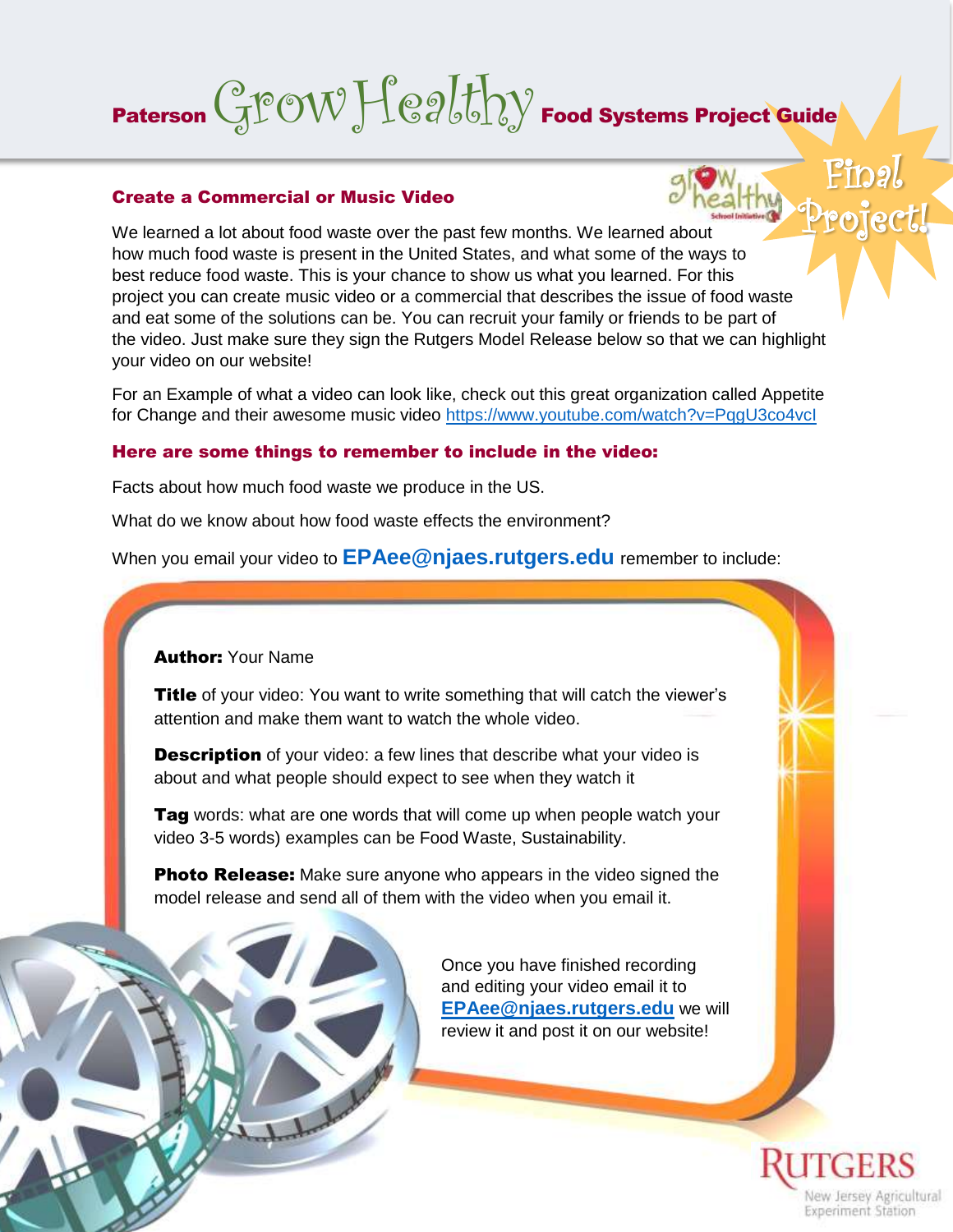# Paterson  $GPOWFQd\bar{b}$   $\sim$

#### Create a Commercial or Music Video

Project! We learned a lot about food waste over the past few months. We learned about how much food waste is present in the United States, and what some of the ways to best reduce food waste. This is your chance to show us what you learned. For this project you can create music video or a commercial that describes the issue of food waste and eat some of the solutions can be. You can recruit your family or friends to be part of the video. Just make sure they sign the Rutgers Model Release below so that we can highlight your video on our website!

For an Example of what a video can look like, check out this great organization called Appetite for Change and their awesome music video<https://www.youtube.com/watch?v=PqgU3co4vcI>

### Here are some things to remember to include in the video:

Facts about how much food waste we produce in the US.

What do we know about how food waste effects the environment?

When you email your video to **[EPAee@njaes.rutgers.edu](mailto:EPAee@njaes.rutgers.edu)** remember to include:

### **Author: Your Name**

**Title** of your video: You want to write something that will catch the viewer's attention and make them want to watch the whole video.

**Description** of your video: a few lines that describe what your video is about and what people should expect to see when they watch it

Tag words: what are one words that will come up when people watch your video 3-5 words) examples can be Food Waste, Sustainability.

**Photo Release:** Make sure anyone who appears in the video signed the model release and send all of them with the video when you email it.



Once you have finished recording and editing your video email it to **[EPAee@njaes.rutgers.edu](mailto:EPAee@njaes.rutgers.edu)** we will review it and post it on our website!



Final